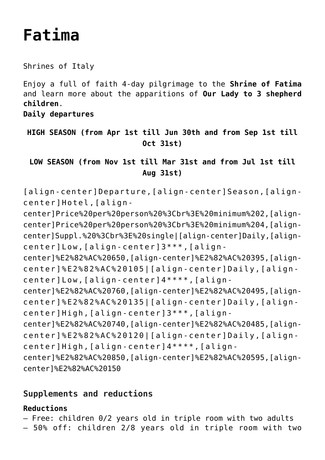# **[Fatima](https://rusconiviaggi.com/tour-item/private-pilgrimage-to-fatima-4-days/)**

Shrines of Italy

Enjoy a full of faith 4-day pilgrimage to the **Shrine of Fatima** and learn more about the apparitions of **Our Lady to 3 shepherd children**.

**Daily departures**

**HIGH SEASON (from Apr 1st till Jun 30th and from Sep 1st till Oct 31st)**

**LOW SEASON (from Nov 1st till Mar 31st and from Jul 1st till Aug 31st)**

[align-center]Departure,[align-center]Season,[aligncenter]Hotel,[align-

center]Price%20per%20person%20%3Cbr%3E%20minimum%202,[aligncenter]Price%20per%20person%20%3Cbr%3E%20minimum%204,[aligncenter]Suppl.%20%3Cbr%3E%20single|[align-center]Daily,[aligncenter]Low,[align-center]3\*\*\*,[align-

center]%E2%82%AC%20650,[align-center]%E2%82%AC%20395,[aligncenter]%E2%82%AC%20105|[align-center]Daily,[aligncenter]Low,[align-center]4\*\*\*\*,[align-

center]%E2%82%AC%20760,[align-center]%E2%82%AC%20495,[aligncenter]%E2%82%AC%20135|[align-center]Daily,[aligncenter]High,[align-center]3\*\*\*,[align-

center]%E2%82%AC%20740,[align-center]%E2%82%AC%20485,[aligncenter]%E2%82%AC%20120|[align-center]Daily,[aligncenter]High,[align-center]4\*\*\*\*,[align-

center]%E2%82%AC%20850,[align-center]%E2%82%AC%20595,[aligncenter]%E2%82%AC%20150

# **Supplements and reductions**

# **Reductions**

– Free: children 0/2 years old in triple room with two adults

– 50% off: children 2/8 years old in triple room with two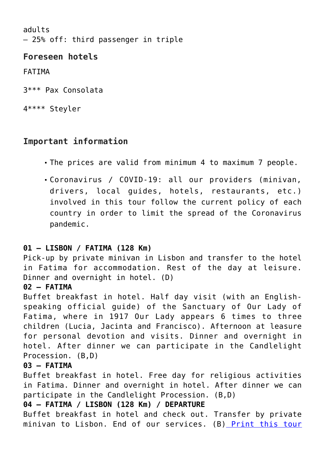adults – 25% off: third passenger in triple

# **Foreseen hotels**

FATIMA

3\*\*\* Pax Consolata

4\*\*\*\* Steyler

# **Important information**

- The prices are valid from minimum 4 to maximum 7 people.
- Coronavirus / COVID-19: all our providers (minivan, drivers, local guides, hotels, restaurants, etc.) involved in this tour follow the current policy of each country in order to limit the spread of the Coronavirus pandemic.

#### **01 – LISBON / FATIMA (128 Km)**

Pick-up by private minivan in Lisbon and transfer to the hotel in Fatima for accommodation. Rest of the day at leisure. Dinner and overnight in hotel. (D)

#### **02 – FATIMA**

Buffet breakfast in hotel. Half day visit (with an Englishspeaking official guide) of the Sanctuary of Our Lady of Fatima, where in 1917 Our Lady appears 6 times to three children (Lucia, Jacinta and Francisco). Afternoon at leasure for personal devotion and visits. Dinner and overnight in hotel. After dinner we can participate in the Candlelight Procession. (B,D)

#### **03 – FATIMA**

Buffet breakfast in hotel. Free day for religious activities in Fatima. Dinner and overnight in hotel. After dinner we can participate in the Candlelight Procession. (B,D)

#### **04 – FATIMA / LISBON (128 Km) / DEPARTURE**

Buffet breakfast in hotel and check out. Transfer by private minivan to Lisbon. End of our services. (B) [Print this tour](#page--1-0)